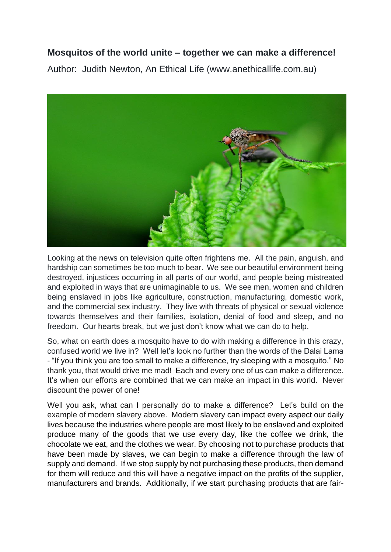## **Mosquitos of the world unite – together we can make a difference!**

Author: Judith Newton, An Ethical Life (www.anethicallife.com.au)



Looking at the news on television quite often frightens me. All the pain, anguish, and hardship can sometimes be too much to bear. We see our beautiful environment being destroyed, injustices occurring in all parts of our world, and people being mistreated and exploited in ways that are unimaginable to us. We see men, women and children being enslaved in jobs like agriculture, construction, manufacturing, domestic work, and the commercial sex industry. They live with threats of physical or sexual violence towards themselves and their families, isolation, denial of food and sleep, and no freedom. Our hearts break, but we just don't know what we can do to help.

So, what on earth does a mosquito have to do with making a difference in this crazy, confused world we live in? Well let's look no further than the words of the Dalai Lama - "If you think you are too small to make a difference, try sleeping with a mosquito." No thank you, that would drive me mad! Each and every one of us can make a difference. It's when our efforts are combined that we can make an impact in this world. Never discount the power of one!

Well you ask, what can I personally do to make a difference? Let's build on the example of modern slavery above. Modern slavery can impact every aspect our daily lives because the industries where people are most likely to be enslaved and exploited produce many of the goods that we use every day, like the coffee we drink, the chocolate we eat, and the clothes we wear. By choosing not to purchase products that have been made by slaves, we can begin to make a difference through the law of supply and demand. If we stop supply by not purchasing these products, then demand for them will reduce and this will have a negative impact on the profits of the supplier, manufacturers and brands. Additionally, if we start purchasing products that are fair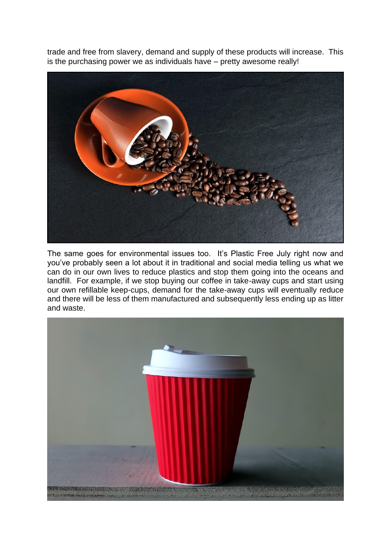trade and free from slavery, demand and supply of these products will increase. This is the purchasing power we as individuals have – pretty awesome really!



The same goes for environmental issues too. It's Plastic Free July right now and you've probably seen a lot about it in traditional and social media telling us what we can do in our own lives to reduce plastics and stop them going into the oceans and landfill. For example, if we stop buying our coffee in take-away cups and start using our own refillable keep-cups, demand for the take-away cups will eventually reduce and there will be less of them manufactured and subsequently less ending up as litter and waste.

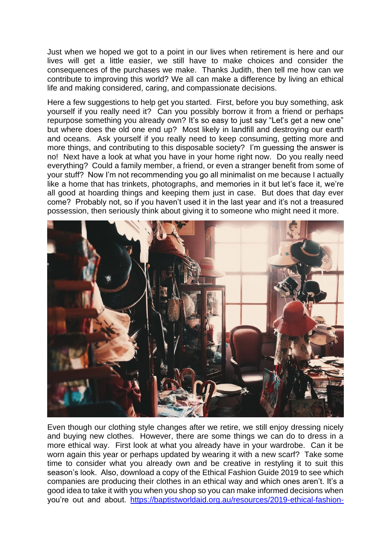Just when we hoped we got to a point in our lives when retirement is here and our lives will get a little easier, we still have to make choices and consider the consequences of the purchases we make. Thanks Judith, then tell me how can we contribute to improving this world? We all can make a difference by living an ethical life and making considered, caring, and compassionate decisions.

Here a few suggestions to help get you started. First, before you buy something, ask yourself if you really need it? Can you possibly borrow it from a friend or perhaps repurpose something you already own? It's so easy to just say "Let's get a new one" but where does the old one end up? Most likely in landfill and destroying our earth and oceans. Ask yourself if you really need to keep consuming, getting more and more things, and contributing to this disposable society? I'm guessing the answer is no! Next have a look at what you have in your home right now. Do you really need everything? Could a family member, a friend, or even a stranger benefit from some of your stuff? Now I'm not recommending you go all minimalist on me because I actually like a home that has trinkets, photographs, and memories in it but let's face it, we're all good at hoarding things and keeping them just in case. But does that day ever come? Probably not, so if you haven't used it in the last year and it's not a treasured possession, then seriously think about giving it to someone who might need it more.



Even though our clothing style changes after we retire, we still enjoy dressing nicely and buying new clothes. However, there are some things we can do to dress in a more ethical way. First look at what you already have in your wardrobe. Can it be worn again this year or perhaps updated by wearing it with a new scarf? Take some time to consider what you already own and be creative in restyling it to suit this season's look. Also, download a copy of the Ethical Fashion Guide 2019 to see which companies are producing their clothes in an ethical way and which ones aren't. It's a good idea to take it with you when you shop so you can make informed decisions when you're out and about. [https://baptistworldaid.org.au/resources/2019-ethical-fashion-](https://baptistworldaid.org.au/resources/2019-ethical-fashion-guide/)